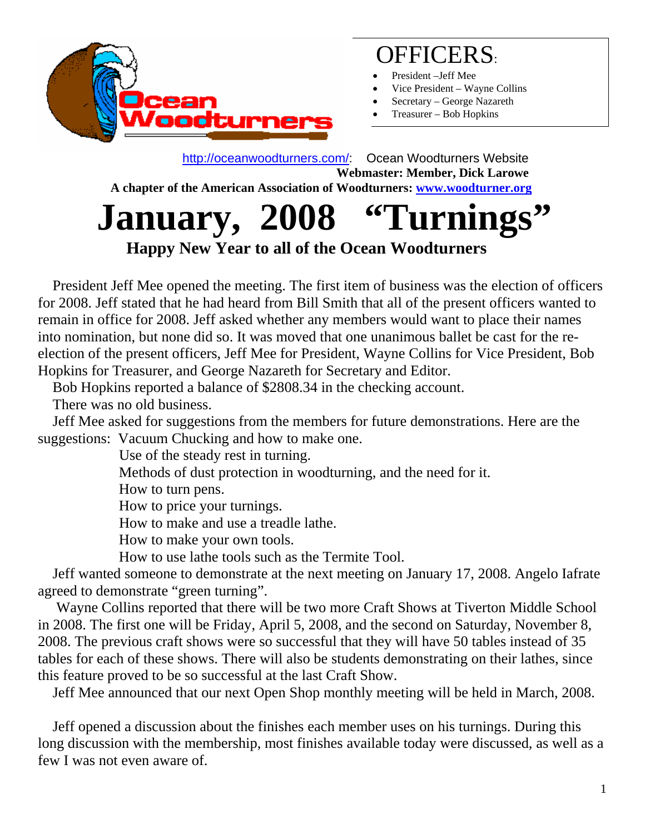

### OFFICERS:

- President –Jeff Mee
- Vice President Wayne Collins
- Secretary George Nazareth
- Treasurer Bob Hopkins

 http://oceanwoodturners.com/: Ocean Woodturners Website **Webmaster: Member, Dick Larowe A chapter of the American Association of Woodturners: www.woodturner.org** 

## January, 2008 "Turnings  **Happy New Year to all of the Ocean Woodturners**

 President Jeff Mee opened the meeting. The first item of business was the election of officers for 2008. Jeff stated that he had heard from Bill Smith that all of the present officers wanted to remain in office for 2008. Jeff asked whether any members would want to place their names into nomination, but none did so. It was moved that one unanimous ballet be cast for the reelection of the present officers, Jeff Mee for President, Wayne Collins for Vice President, Bob Hopkins for Treasurer, and George Nazareth for Secretary and Editor.

Bob Hopkins reported a balance of \$2808.34 in the checking account.

There was no old business.

 Jeff Mee asked for suggestions from the members for future demonstrations. Here are the suggestions: Vacuum Chucking and how to make one.

Use of the steady rest in turning.

Methods of dust protection in woodturning, and the need for it.

How to turn pens.

How to price your turnings.

How to make and use a treadle lathe.

How to make your own tools.

How to use lathe tools such as the Termite Tool.

 Jeff wanted someone to demonstrate at the next meeting on January 17, 2008. Angelo Iafrate agreed to demonstrate "green turning".

 Wayne Collins reported that there will be two more Craft Shows at Tiverton Middle School in 2008. The first one will be Friday, April 5, 2008, and the second on Saturday, November 8, 2008. The previous craft shows were so successful that they will have 50 tables instead of 35 tables for each of these shows. There will also be students demonstrating on their lathes, since this feature proved to be so successful at the last Craft Show.

Jeff Mee announced that our next Open Shop monthly meeting will be held in March, 2008.

 Jeff opened a discussion about the finishes each member uses on his turnings. During this long discussion with the membership, most finishes available today were discussed, as well as a few I was not even aware of.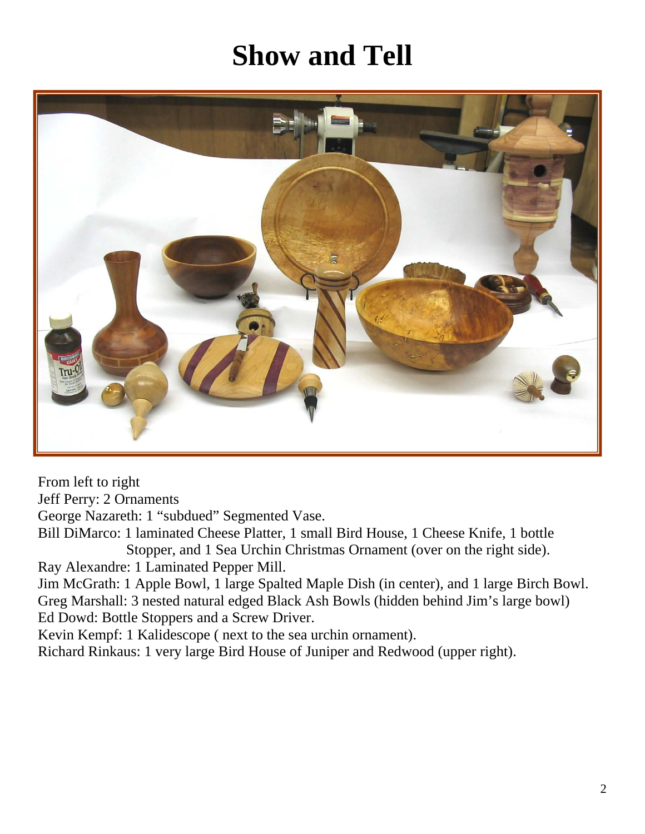# **Show and Tell**



From left to right Jeff Perry: 2 Ornaments George Nazareth: 1 "subdued" Segmented Vase. Bill DiMarco: 1 laminated Cheese Platter, 1 small Bird House, 1 Cheese Knife, 1 bottle Stopper, and 1 Sea Urchin Christmas Ornament (over on the right side). Ray Alexandre: 1 Laminated Pepper Mill. Jim McGrath: 1 Apple Bowl, 1 large Spalted Maple Dish (in center), and 1 large Birch Bowl. Greg Marshall: 3 nested natural edged Black Ash Bowls (hidden behind Jim's large bowl) Ed Dowd: Bottle Stoppers and a Screw Driver. Kevin Kempf: 1 Kalidescope ( next to the sea urchin ornament). Richard Rinkaus: 1 very large Bird House of Juniper and Redwood (upper right).